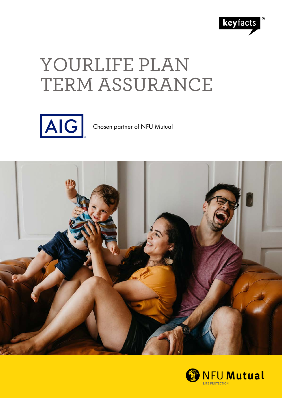

# YOURLIFE PLAN TERM ASSURANCE



Chosen partner of NFU Mutual



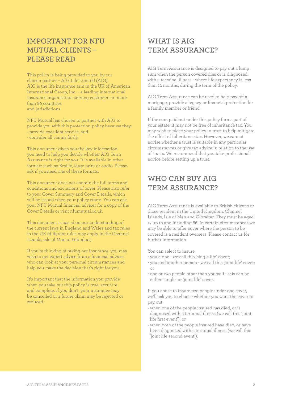# **IMPORTANT FOR NFU MUTUAL CLIENTS – PLEASE READ**

This policy is being provided to you by our chosen partner – AIG Life Limited (AIG). AIG is the life insurance arm in the UK of American International Group, Inc. – a leading international insurance organisation serving customers in more than 80 countries and jurisdictions.

NFU Mutual has chosen to partner with AIG to provide you with this protection policy because they: · provide excellent service, and

· consider all claims fairly.

This document gives you the key information you need to help you decide whether AIG Term Assurance is right for you. It is available in other formats such as Braille, large print or audio. Please ask if you need one of these formats.

This document does not contain the full terms and conditions and exclusions of cover. Please also refer to your Cover Summary and Cover Details, which will be issued when your policy starts. You can ask your NFU Mutual financial adviser for a copy of the Cover Details or visit nfumutual.co.uk.

This document is based on our understanding of the current laws in England and Wales and tax rules in the UK (different rules may apply in the Channel Islands, Isle of Man or Gibraltar).

If you're thinking of taking out insurance, you may wish to get expert advice from a financial adviser who can look at your personal circumstances and help you make the decision that's right for you.

It's important that the information you provide when you take out this policy is true, accurate and complete. If you don't, your insurance may be cancelled or a future claim may be rejected or reduced.

# **WHAT IS AIG TERM ASSURANCE?**

AIG Term Assurance is designed to pay out a lump sum when the person covered dies or is diagnosed with a terminal illness - where life expectancy is less than 12 months, during the term of the policy.

AIG Term Assurance can be used to help pay off a mortgage, provide a legacy or financial protection for a family member or friend.

If the sum paid out under this policy forms part of your estate, it may not be free of inheritance tax. You may wish to place your policy in trust to help mitigate the effect of inheritance tax. However, we cannot advise whether a trust is suitable in any particular circumstances or give tax advice in relation to the use of trusts. We recommend that you take professional advice before setting up a trust.

# **WHO CAN BUY AIG TERM ASSURANCE?**

AIG Term Assurance is available to British citizens or those resident in the United Kingdom, Channel Islands, Isle of Man and Gibraltar. They must be aged 17 up to and including 86. In certain circumstances we may be able to offer cover where the person to be covered is a resident overseas. Please contact us for further information.

You can select to insure:

- you alone we call this 'single life' cover;
- you and another person we call this 'joint life' cover; or
- one or two people other than yourself this can be either 'single' or 'joint life' cover.

If you chose to insure two people under one cover, we'll ask you to choose whether you want the cover to pay out:

- when one of the people insured has died, or is diagnosed with a terminal illness (we call this 'joint life first event'); or
- when both of the people insured have died, or have been diagnosed with a terminal illness (we call this 'joint life second event').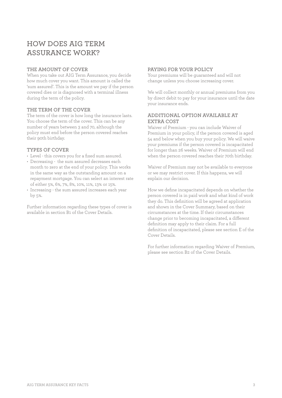# **HOW DOES AIG TERM ASSURANCE WORK?**

## **THE AMOUNT OF COVER**

When you take out AIG Term Assurance, you decide how much cover you want. This amount is called the 'sum assured'. This is the amount we pay if the person covered dies or is diagnosed with a terminal illness during the term of the policy.

#### **THE TERM OF THE COVER**

The term of the cover is how long the insurance lasts. You choose the term of the cover. This can be any number of years between 3 and 70, although the policy must end before the person covered reaches their 90th birthday.

#### **TYPES OF COVER**

- Level this covers you for a fixed sum assured.
- Decreasing the sum assured decreases each month to zero at the end of your policy. This works in the same way as the outstanding amount on a repayment mortgage. You can select an interest rate of either 5%, 6%, 7%, 8%, 10%, 11%, 13% or 15%.
- Increasing the sum assured increases each year by 5%.

Further information regarding these types of cover is available in section B1 of the Cover Details.

## **PAYING FOR YOUR POLICY**

Your premiums will be guaranteed and will not change unless you choose increasing cover.

We will collect monthly or annual premiums from you by direct debit to pay for your insurance until the date your insurance ends.

## **ADDITIONAL OPTION AVAILABLE AT EXTRA COST**

Waiver of Premium - you can include Waiver of Premium in your policy, if the person covered is aged 54 and below when you buy your policy. We will waive your premiums if the person covered is incapacitated for longer than 26 weeks. Waiver of Premium will end when the person covered reaches their 70th birthday.

Waiver of Premium may not be available to everyone or we may restrict cover. If this happens, we will explain our decision.

How we define incapacitated depends on whether the person covered is in paid work and what kind of work they do. This definition will be agreed at application and shown in the Cover Summary, based on their circumstances at the time. If their circumstances change prior to becoming incapacitated, a different definition may apply to their claim. For a full definition of incapacitated, please see section E of the Cover Details.

For further information regarding Waiver of Premium, please see section B2 of the Cover Details.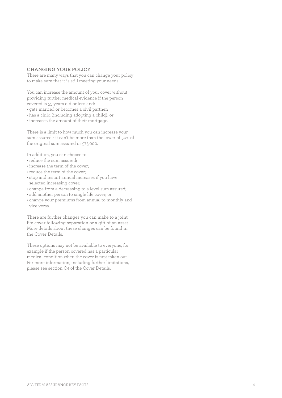#### **CHANGING YOUR POLICY**

There are many ways that you can change your policy to make sure that it is still meeting your needs.

You can increase the amount of your cover without providing further medical evidence if the person covered is 55 years old or less and:

- gets married or becomes a civil partner;
- has a child (including adopting a child); or
- increases the amount of their mortgage.

There is a limit to how much you can increase your sum assured - it can't be more than the lower of 50% of the original sum assured or £75,000.

In addition, you can choose to:

- reduce the sum assured;
- increase the term of the cover;
- reduce the term of the cover;
- stop and restart annual increases if you have selected increasing cover;
- change from a decreasing to a level sum assured;
- add another person to single life cover; or
- change your premiums from annual to monthly and vice versa.

There are further changes you can make to a joint life cover following separation or a gift of an asset. More details about these changes can be found in the Cover Details.

These options may not be available to everyone, for example if the person covered has a particular medical condition when the cover is first taken out. For more information, including further limitations, please see section C4 of the Cover Details.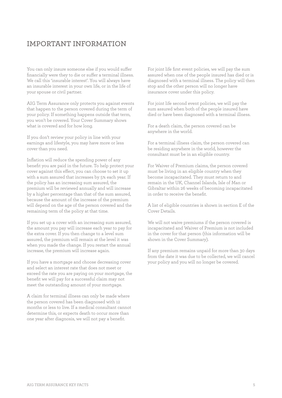# **IMPORTANT INFORMATION**

You can only insure someone else if you would suffer financially were they to die or suffer a terminal illness. We call this 'insurable interest'. You will always have an insurable interest in your own life, or in the life of your spouse or civil partner.

AIG Term Assurance only protects you against events that happen to the person covered during the term of your policy. If something happens outside that term, you won't be covered. Your Cover Summary shows what is covered and for how long.

If you don't review your policy in line with your earnings and lifestyle, you may have more or less cover than you need.

Inflation will reduce the spending power of any benefit you are paid in the future. To help protect your cover against this effect, you can choose to set it up with a sum assured that increases by 5% each year. If the policy has an increasing sum assured, the premium will be reviewed annually and will increase by a higher percentage than that of the sum assured, because the amount of the increase of the premium will depend on the age of the person covered and the remaining term of the policy at that time.

If you set up a cover with an increasing sum assured, the amount you pay will increase each year to pay for the extra cover. If you then change to a level sum assured, the premium will remain at the level it was when you made the change. If you restart the annual increase, the premium will increase again.

If you have a mortgage and choose decreasing cover and select an interest rate that does not meet or exceed the rate you are paying on your mortgage, the benefit we will pay for a successful claim may not meet the outstanding amount of your mortgage.

A claim for terminal illness can only be made where the person covered has been diagnosed with 12 months or less to live. If a medical consultant cannot determine this, or expects death to occur more than one year after diagnosis, we will not pay a benefit.

For joint life first event policies, we will pay the sum assured when one of the people insured has died or is diagnosed with a terminal illness. The policy will then stop and the other person will no longer have insurance cover under this policy.

For joint life second event policies, we will pay the sum assured when both of the people insured have died or have been diagnosed with a terminal illness.

For a death claim, the person covered can be anywhere in the world.

For a terminal illness claim, the person covered can be residing anywhere in the world, however the consultant must be in an eligible country.

For Waiver of Premium claims, the person covered must be living in an eligible country when they become incapacitated. They must return to and remain in the UK, Channel Islands, Isle of Man or Gibraltar within 26 weeks of becoming incapacitated in order to receive the benefit.

A list of eligible countries is shown in section E of the Cover Details.

We will not waive premiums if the person covered is incapacitated and Waiver of Premium is not included in the cover for that person (this information will be shown in the Cover Summary).

If any premium remains unpaid for more than 30 days from the date it was due to be collected, we will cancel your policy and you will no longer be covered.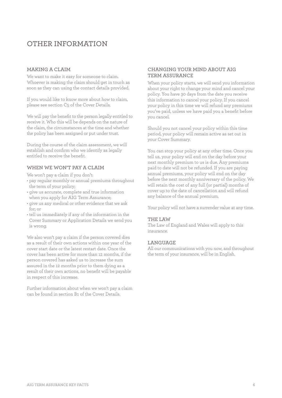# **OTHER INFORMATION**

## **MAKING A CLAIM**

We want to make it easy for someone to claim. Whoever is making the claim should get in touch as soon as they can using the contact details provided.

If you would like to know more about how to claim, please see section C5 of the Cover Details.

We will pay the benefit to the person legally entitled to receive it. Who this will be depends on the nature of the claim, the circumstances at the time and whether the policy has been assigned or put under trust.

During the course of the claim assessment, we will establish and confirm who we identify as legally entitled to receive the benefit.

## **WHEN WE WON'T PAY A CLAIM**

We won't pay a claim if you don't:

- pay regular monthly or annual premiums throughout the term of your policy;
- give us accurate, complete and true information when you apply for AIG Term Assurance;
- give us any medical or other evidence that we ask for; or
- tell us immediately if any of the information in the Cover Summary or Application Details we send you is wrong.

We also won't pay a claim if the person covered dies as a result of their own actions within one year of the cover start date or the latest restart date. Once the cover has been active for more than 12 months, if the person covered has asked us to increase the sum assured in the 12 months prior to them dying as a result of their own actions, no benefit will be payable in respect of this increase.

Further information about when we won't pay a claim can be found in section B1 of the Cover Details.

## **CHANGING YOUR MIND ABOUT AIG TERM ASSURANCE**

When your policy starts, we will send you information about your right to change your mind and cancel your policy. You have 30 days from the date you receive this information to cancel your policy. If you cancel your policy in this time we will refund any premiums you've paid, unless we have paid you a benefit before you cancel.

Should you not cancel your policy within this time period, your policy will remain active as set out in your Cover Summary.

You can stop your policy at any other time. Once you tell us, your policy will end on the day before your next monthly premium to us is due. Any premiums paid to date will not be refunded. If you are paying annual premiums, your policy will end on the day before the next monthly anniversary of the policy. We will retain the cost of any full (or partial) months of cover up to the date of cancellation and will refund any balance of the annual premium.

Your policy will not have a surrender value at any time.

## **THE LAW**

The Law of England and Wales will apply to this insurance.

#### **LANGUAGE**

All our communications with you now, and throughout the term of your insurance, will be in English.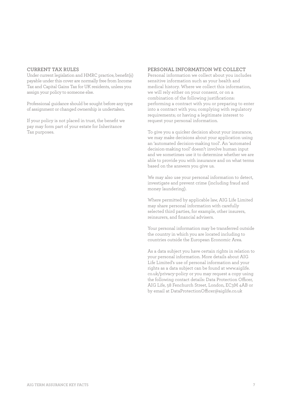#### **CURRENT TAX RULES**

Under current legislation and HMRC practice, benefit(s) payable under this cover are normally free from Income Tax and Capital Gains Tax for UK residents, unless you assign your policy to someone else.

Professional guidance should be sought before any type of assignment or changed ownership is undertaken.

If your policy is not placed in trust, the benefit we pay may form part of your estate for Inheritance Tax purposes.

#### **PERSONAL INFORMATION WE COLLECT**

Personal information we collect about you includes sensitive information such as your health and medical history. Where we collect this information, we will rely either on your consent, or on a combination of the following justifications: performing a contract with you or preparing to enter into a contract with you; complying with regulatory requirements; or having a legitimate interest to request your personal information.

To give you a quicker decision about your insurance, we may make decisions about your application using an 'automated decision-making tool'. An 'automated decision-making tool' doesn't involve human input and we sometimes use it to determine whether we are able to provide you with insurance and on what terms based on the answers you give us.

We may also use your personal information to detect, investigate and prevent crime (including fraud and money laundering).

Where permitted by applicable law, AIG Life Limited may share personal information with carefully selected third parties, for example, other insurers, reinsurers, and financial advisers.

Your personal information may be transferred outside the country in which you are located including to countries outside the European Economic Area.

As a data subject you have certain rights in relation to your personal information. More details about AIG Life Limited's use of personal information and your rights as a data subject can be found at www.aiglife. co.uk/privacy-policy or you may request a copy using the following contact details: Data Protection Officer, AIG Life, 58 Fenchurch Street, London, EC3M 4AB or by email at DataProtectionOfficer@aiglife.co.uk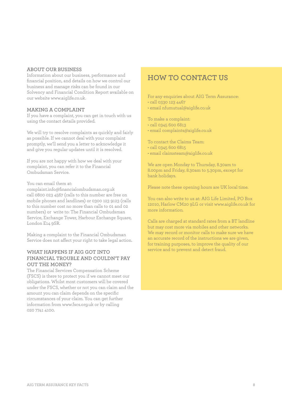#### **ABOUT OUR BUSINESS**

Information about our business, performance and financial position, and details on how we control our business and manage risks can be found in our Solvency and Financial Condition Report available on our website www.aiglife.co.uk.

#### **MAKING A COMPLAINT**

If you have a complaint, you can get in touch with us using the contact details provided.

We will try to resolve complaints as quickly and fairly as possible. If we cannot deal with your complaint promptly, we'll send you a letter to acknowledge it and give you regular updates until it is resolved.

If you are not happy with how we deal with your complaint, you can refer it to the Financial Ombudsman Service.

You can email them at:

complaint.info@financialombudsman.org.uk call 0800 023 4567 (calls to this number are free on mobile phones and landlines) or 0300 123 9123 (calls to this number cost no more than calls to 01 and 02 numbers) or write to: The Financial Ombudsman Service, Exchange Tower, Harbour Exchange Square, London E14 9SR.

Making a complaint to the Financial Ombudsman Service does not affect your right to take legal action.

## **WHAT HAPPENS IF AIG GOT INTO FINANCIAL TROUBLE AND COULDN'T PAY OUT THE MONEY?**

The Financial Services Compensation Scheme (FSCS) is there to protect you if we cannot meet our obligations. Whilst most customers will be covered under the FSCS, whether or not you can claim and the amount you can claim depends on the specific circumstances of your claim. You can get further information from www.fscs.org.uk or by calling 020 7741 4100.

# **HOW TO CONTACT US**

For any enquiries about AIG Term Assurance: • call 0330 123 4467

• email nfumutual@aiglife.co.uk

To make a complaint:

- call 0345 600 6813
- email complaints@aiglife.co.uk

To contact the Claims Team:

- call 0345 600 6815
- email claimsteam@aiglife.co.uk

We are open Monday to Thursday, 8.30am to 8.00pm and Friday, 8.30am to 5.30pm, except for bank holidays.

Please note these opening hours are UK local time.

You can also write to us at: AIG Life Limited, PO Box 12010, Harlow CM20 9LG or visit www.aiglife.co.uk for more information.

Calls are charged at standard rates from a BT landline but may cost more via mobiles and other networks. We may record or monitor calls to make sure we have an accurate record of the instructions we are given, for training purposes, to improve the quality of our service and to prevent and detect fraud.